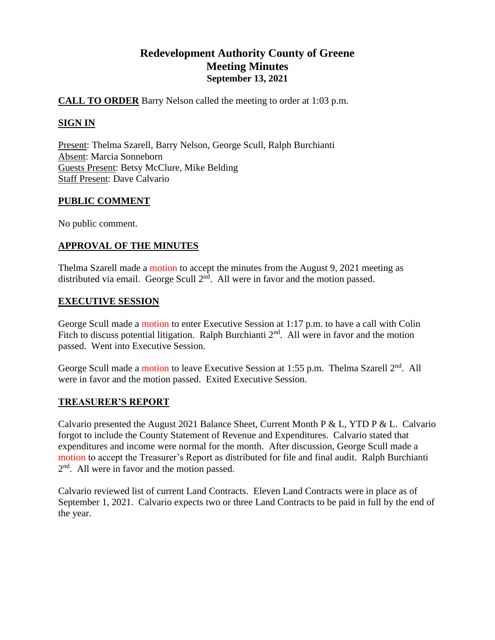# **Redevelopment Authority County of Greene Meeting Minutes September 13, 2021**

# **CALL TO ORDER** Barry Nelson called the meeting to order at 1:03 p.m.

# **SIGN IN**

Present: Thelma Szarell, Barry Nelson, George Scull, Ralph Burchianti Absent: Marcia Sonneborn Guests Present: Betsy McClure, Mike Belding Staff Present: Dave Calvario

# **PUBLIC COMMENT**

No public comment.

# **APPROVAL OF THE MINUTES**

Thelma Szarell made a motion to accept the minutes from the August 9, 2021 meeting as distributed via email. George Scull  $2<sup>nd</sup>$ . All were in favor and the motion passed.

# **EXECUTIVE SESSION**

George Scull made a motion to enter Executive Session at 1:17 p.m. to have a call with Colin Fitch to discuss potential litigation. Ralph Burchianti  $2<sup>nd</sup>$ . All were in favor and the motion passed. Went into Executive Session.

George Scull made a motion to leave Executive Session at 1:55 p.m. Thelma Szarell  $2<sup>nd</sup>$ . All were in favor and the motion passed. Exited Executive Session.

# **TREASURER'S REPORT**

Calvario presented the August 2021 Balance Sheet, Current Month P & L, YTD P & L. Calvario forgot to include the County Statement of Revenue and Expenditures. Calvario stated that expenditures and income were normal for the month. After discussion, George Scull made a motion to accept the Treasurer's Report as distributed for file and final audit. Ralph Burchianti 2<sup>nd</sup>. All were in favor and the motion passed.

Calvario reviewed list of current Land Contracts. Eleven Land Contracts were in place as of September 1, 2021. Calvario expects two or three Land Contracts to be paid in full by the end of the year.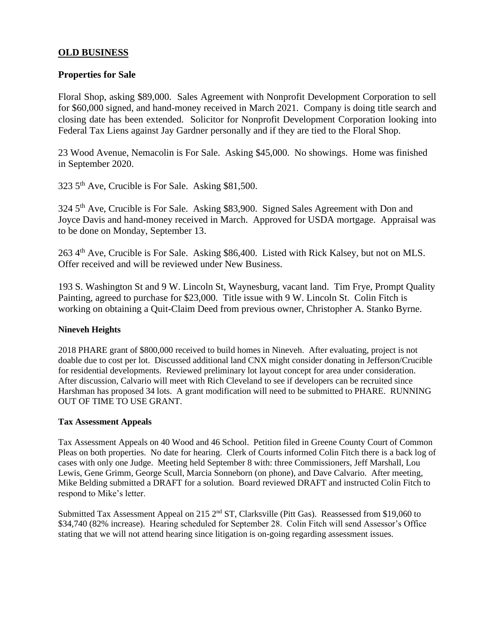# **OLD BUSINESS**

### **Properties for Sale**

Floral Shop, asking \$89,000. Sales Agreement with Nonprofit Development Corporation to sell for \$60,000 signed, and hand-money received in March 2021. Company is doing title search and closing date has been extended. Solicitor for Nonprofit Development Corporation looking into Federal Tax Liens against Jay Gardner personally and if they are tied to the Floral Shop.

23 Wood Avenue, Nemacolin is For Sale. Asking \$45,000. No showings. Home was finished in September 2020.

323 5th Ave, Crucible is For Sale. Asking \$81,500.

324 5<sup>th</sup> Ave, Crucible is For Sale. Asking \$83,900. Signed Sales Agreement with Don and Joyce Davis and hand-money received in March. Approved for USDA mortgage. Appraisal was to be done on Monday, September 13.

263 4th Ave, Crucible is For Sale. Asking \$86,400. Listed with Rick Kalsey, but not on MLS. Offer received and will be reviewed under New Business.

193 S. Washington St and 9 W. Lincoln St, Waynesburg, vacant land. Tim Frye, Prompt Quality Painting, agreed to purchase for \$23,000. Title issue with 9 W. Lincoln St. Colin Fitch is working on obtaining a Quit-Claim Deed from previous owner, Christopher A. Stanko Byrne.

### **Nineveh Heights**

2018 PHARE grant of \$800,000 received to build homes in Nineveh. After evaluating, project is not doable due to cost per lot. Discussed additional land CNX might consider donating in Jefferson/Crucible for residential developments. Reviewed preliminary lot layout concept for area under consideration. After discussion, Calvario will meet with Rich Cleveland to see if developers can be recruited since Harshman has proposed 34 lots. A grant modification will need to be submitted to PHARE. RUNNING OUT OF TIME TO USE GRANT.

#### **Tax Assessment Appeals**

Tax Assessment Appeals on 40 Wood and 46 School. Petition filed in Greene County Court of Common Pleas on both properties. No date for hearing. Clerk of Courts informed Colin Fitch there is a back log of cases with only one Judge. Meeting held September 8 with: three Commissioners, Jeff Marshall, Lou Lewis, Gene Grimm, George Scull, Marcia Sonneborn (on phone), and Dave Calvario. After meeting, Mike Belding submitted a DRAFT for a solution. Board reviewed DRAFT and instructed Colin Fitch to respond to Mike's letter.

Submitted Tax Assessment Appeal on 215 2<sup>nd</sup> ST, Clarksville (Pitt Gas). Reassessed from \$19,060 to \$34,740 (82% increase). Hearing scheduled for September 28. Colin Fitch will send Assessor's Office stating that we will not attend hearing since litigation is on-going regarding assessment issues.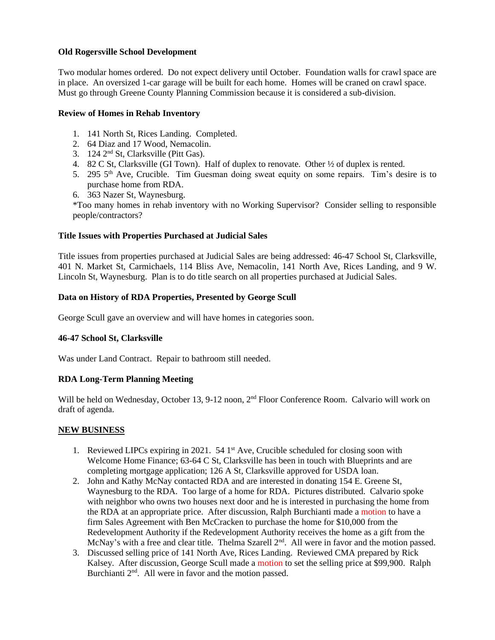### **Old Rogersville School Development**

Two modular homes ordered. Do not expect delivery until October. Foundation walls for crawl space are in place. An oversized 1-car garage will be built for each home. Homes will be craned on crawl space. Must go through Greene County Planning Commission because it is considered a sub-division.

### **Review of Homes in Rehab Inventory**

- 1. 141 North St, Rices Landing. Completed.
- 2. 64 Diaz and 17 Wood, Nemacolin.
- 3. 124 2nd St, Clarksville (Pitt Gas).
- 4. 82 C St, Clarksville (GI Town). Half of duplex to renovate. Other ½ of duplex is rented.
- 5. 295  $5<sup>th</sup>$  Ave, Crucible. Tim Guesman doing sweat equity on some repairs. Tim's desire is to purchase home from RDA.
- 6. 363 Nazer St, Waynesburg.

\*Too many homes in rehab inventory with no Working Supervisor? Consider selling to responsible people/contractors?

### **Title Issues with Properties Purchased at Judicial Sales**

Title issues from properties purchased at Judicial Sales are being addressed: 46-47 School St, Clarksville, 401 N. Market St, Carmichaels, 114 Bliss Ave, Nemacolin, 141 North Ave, Rices Landing, and 9 W. Lincoln St, Waynesburg. Plan is to do title search on all properties purchased at Judicial Sales.

### **Data on History of RDA Properties, Presented by George Scull**

George Scull gave an overview and will have homes in categories soon.

# **46-47 School St, Clarksville**

Was under Land Contract. Repair to bathroom still needed.

### **RDA Long-Term Planning Meeting**

Will be held on Wednesday, October 13, 9-12 noon, 2<sup>nd</sup> Floor Conference Room. Calvario will work on draft of agenda.

### **NEW BUSINESS**

- 1. Reviewed LIPCs expiring in 2021.  $54 \text{ 1st}$  Ave, Crucible scheduled for closing soon with Welcome Home Finance; 63-64 C St, Clarksville has been in touch with Blueprints and are completing mortgage application; 126 A St, Clarksville approved for USDA loan.
- 2. John and Kathy McNay contacted RDA and are interested in donating 154 E. Greene St, Waynesburg to the RDA. Too large of a home for RDA. Pictures distributed. Calvario spoke with neighbor who owns two houses next door and he is interested in purchasing the home from the RDA at an appropriate price. After discussion, Ralph Burchianti made a motion to have a firm Sales Agreement with Ben McCracken to purchase the home for \$10,000 from the Redevelopment Authority if the Redevelopment Authority receives the home as a gift from the McNay's with a free and clear title. Thelma Szarell 2<sup>nd</sup>. All were in favor and the motion passed.
- 3. Discussed selling price of 141 North Ave, Rices Landing. Reviewed CMA prepared by Rick Kalsey. After discussion, George Scull made a motion to set the selling price at \$99,900. Ralph Burchianti 2<sup>nd</sup>. All were in favor and the motion passed.